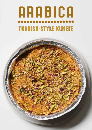## **ARABICA** TURKISH-STYLE KÜNEFE

**MAGITAL**